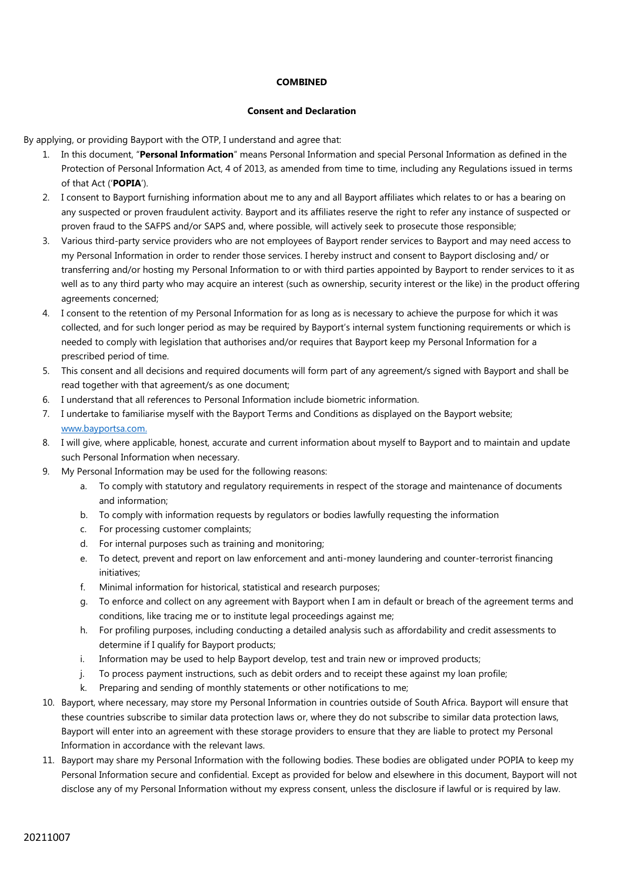## **COMBINED**

## **Consent and Declaration**

By applying, or providing Bayport with the OTP, I understand and agree that:

- 1. In this document, "**Personal Information**" means Personal Information and special Personal Information as defined in the Protection of Personal Information Act, 4 of 2013, as amended from time to time, including any Regulations issued in terms of that Act ('**POPIA**').
- 2. I consent to Bayport furnishing information about me to any and all Bayport affiliates which relates to or has a bearing on any suspected or proven fraudulent activity. Bayport and its affiliates reserve the right to refer any instance of suspected or proven fraud to the SAFPS and/or SAPS and, where possible, will actively seek to prosecute those responsible;
- 3. Various third-party service providers who are not employees of Bayport render services to Bayport and may need access to my Personal Information in order to render those services. I hereby instruct and consent to Bayport disclosing and/ or transferring and/or hosting my Personal Information to or with third parties appointed by Bayport to render services to it as well as to any third party who may acquire an interest (such as ownership, security interest or the like) in the product offering agreements concerned;
- 4. I consent to the retention of my Personal Information for as long as is necessary to achieve the purpose for which it was collected, and for such longer period as may be required by Bayport's internal system functioning requirements or which is needed to comply with legislation that authorises and/or requires that Bayport keep my Personal Information for a prescribed period of time.
- 5. This consent and all decisions and required documents will form part of any agreement/s signed with Bayport and shall be read together with that agreement/s as one document;
- 6. I understand that all references to Personal Information include biometric information.
- 7. I undertake to familiarise myself with the Bayport Terms and Conditions as displayed on the Bayport website; [www.bayportsa.com](http://www.bayportsa.co/).
- 8. I will give, where applicable, honest, accurate and current information about myself to Bayport and to maintain and update such Personal Information when necessary.
- 9. My Personal Information may be used for the following reasons:
	- a. To comply with statutory and regulatory requirements in respect of the storage and maintenance of documents and information;
	- b. To comply with information requests by regulators or bodies lawfully requesting the information
	- c. For processing customer complaints;
	- d. For internal purposes such as training and monitoring;
	- e. To detect, prevent and report on law enforcement and anti-money laundering and counter-terrorist financing initiatives;
	- f. Minimal information for historical, statistical and research purposes;
	- g. To enforce and collect on any agreement with Bayport when I am in default or breach of the agreement terms and conditions, like tracing me or to institute legal proceedings against me;
	- h. For profiling purposes, including conducting a detailed analysis such as affordability and credit assessments to determine if I qualify for Bayport products;
	- i. Information may be used to help Bayport develop, test and train new or improved products;
	- j. To process payment instructions, such as debit orders and to receipt these against my loan profile;
	- k. Preparing and sending of monthly statements or other notifications to me;
- 10. Bayport, where necessary, may store my Personal Information in countries outside of South Africa. Bayport will ensure that these countries subscribe to similar data protection laws or, where they do not subscribe to similar data protection laws, Bayport will enter into an agreement with these storage providers to ensure that they are liable to protect my Personal Information in accordance with the relevant laws.
- 11. Bayport may share my Personal Information with the following bodies. These bodies are obligated under POPIA to keep my Personal Information secure and confidential. Except as provided for below and elsewhere in this document, Bayport will not disclose any of my Personal Information without my express consent, unless the disclosure if lawful or is required by law.